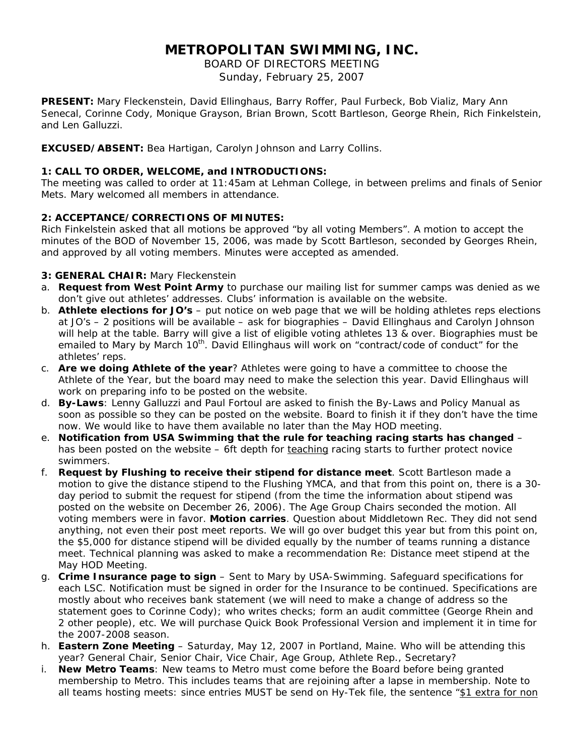# **METROPOLITAN SWIMMING, INC.**

BOARD OF DIRECTORS MEETING Sunday, February 25, 2007

**PRESENT:** Mary Fleckenstein, David Ellinghaus, Barry Roffer, Paul Furbeck, Bob Vializ, Mary Ann Senecal, Corinne Cody, Monique Grayson, Brian Brown, Scott Bartleson, George Rhein, Rich Finkelstein, and Len Galluzzi.

**EXCUSED/ABSENT:** Bea Hartigan, Carolyn Johnson and Larry Collins.

# **1: CALL TO ORDER, WELCOME, and INTRODUCTIONS:**

The meeting was called to order at 11:45am at Lehman College, in between prelims and finals of Senior Mets. Mary welcomed all members in attendance.

## **2: ACCEPTANCE/CORRECTIONS OF MINUTES:**

Rich Finkelstein asked that all motions be approved "by all voting Members". A motion to accept the minutes of the BOD of November 15, 2006, was made by Scott Bartleson, seconded by Georges Rhein, and approved by all voting members. Minutes were accepted as amended.

## **3: GENERAL CHAIR:** Mary Fleckenstein

- a. **Request from West Point Army** to purchase our mailing list for summer camps was denied as we don't give out athletes' addresses. Clubs' information is available on the website.
- b. **Athlete elections for JO's** put notice on web page that we will be holding athletes reps elections at JO's – 2 positions will be available – ask for biographies – David Ellinghaus and Carolyn Johnson will help at the table. Barry will give a list of eligible voting athletes 13 & over. Biographies must be emailed to Mary by March 10<sup>th</sup>. David Ellinghaus will work on "contract/code of conduct" for the athletes' reps.
- c. **Are we doing Athlete of the year**? Athletes were going to have a committee to choose the Athlete of the Year, but the board may need to make the selection this year. David Ellinghaus will work on preparing info to be posted on the website.
- d. **By-Laws**: Lenny Galluzzi and Paul Fortoul are asked to finish the By-Laws and Policy Manual as soon as possible so they can be posted on the website. Board to finish it if they don't have the time now. We would like to have them available no later than the May HOD meeting.
- e. **Notification from USA Swimming that the rule for teaching racing starts has changed** has been posted on the website – 6ft depth for teaching racing starts to further protect novice swimmers.
- f. **Request by Flushing to receive their stipend for distance meet**. Scott Bartleson made a motion to give the distance stipend to the Flushing YMCA, and that from this point on, there is a 30 day period to submit the request for stipend (from the time the information about stipend was posted on the website on December 26, 2006). The Age Group Chairs seconded the motion. All voting members were in favor. **Motion carries**. Question about Middletown Rec. They did not send anything, not even their post meet reports. We will go over budget this year but from this point on, the \$5,000 for distance stipend will be divided equally by the number of teams running a distance meet. Technical planning was asked to make a recommendation Re: Distance meet stipend at the May HOD Meeting.
- g. **Crime Insurance page to sign** Sent to Mary by USA-Swimming. Safeguard specifications for each LSC. Notification must be signed in order for the Insurance to be continued. Specifications are mostly about who receives bank statement (we will need to make a change of address so the statement goes to Corinne Cody); who writes checks; form an audit committee (George Rhein and 2 other people), etc. We will purchase Quick Book Professional Version and implement it in time for the 2007-2008 season.
- h. **Eastern Zone Meeting** Saturday, May 12, 2007 in Portland, Maine. Who will be attending this year? General Chair, Senior Chair, Vice Chair, Age Group, Athlete Rep., Secretary?
- i. **New Metro Teams**: New teams to Metro must come before the Board before being granted membership to Metro. This includes teams that are rejoining after a lapse in membership. Note to all teams hosting meets: since entries MUST be send on Hy-Tek file, the sentence "\$1 extra for non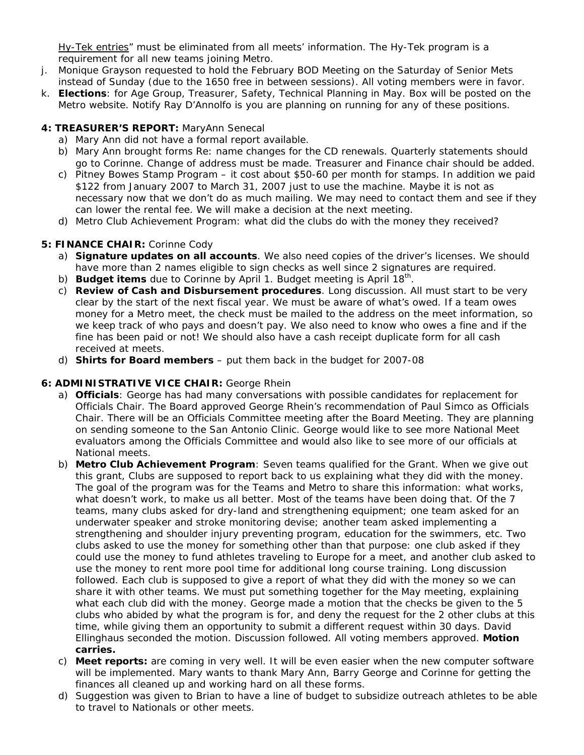Hy-Tek entries" must be eliminated from all meets' information. The Hy-Tek program is a requirement for all new teams joining Metro.

- j. Monique Grayson requested to hold the February BOD Meeting on the Saturday of Senior Mets instead of Sunday (due to the 1650 free in between sessions). All voting members were in favor.
- k. **Elections**: for Age Group, Treasurer, Safety, Technical Planning in May. Box will be posted on the Metro website. Notify Ray D'Annolfo is you are planning on running for any of these positions.

## **4: TREASURER'S REPORT:** MaryAnn Senecal

- a) Mary Ann did not have a formal report available.
- b) Mary Ann brought forms Re: name changes for the CD renewals. Quarterly statements should go to Corinne. Change of address must be made. Treasurer and Finance chair should be added.
- c) Pitney Bowes Stamp Program it cost about \$50-60 per month for stamps. In addition we paid \$122 from January 2007 to March 31, 2007 just to use the machine. Maybe it is not as necessary now that we don't do as much mailing. We may need to contact them and see if they can lower the rental fee. We will make a decision at the next meeting.
- d) Metro Club Achievement Program: what did the clubs do with the money they received?

## **5: FINANCE CHAIR:** Corinne Cody

- a) **Signature updates on all accounts**. We also need copies of the driver's licenses. We should have more than 2 names eligible to sign checks as well since 2 signatures are required.
- b) **Budget items** due to Corinne by April 1. Budget meeting is April 18th.
- c) **Review of Cash and Disbursement procedures**. Long discussion. All must start to be very clear by the start of the next fiscal year. We must be aware of what's owed. If a team owes money for a Metro meet, the check must be mailed to the address on the meet information, so we keep track of who pays and doesn't pay. We also need to know who owes a fine and if the fine has been paid or not! We should also have a cash receipt duplicate form for all cash received at meets.
- d) **Shirts for Board members** put them back in the budget for 2007-08

# **6: ADMINISTRATIVE VICE CHAIR:** George Rhein

- a) **Officials**: George has had many conversations with possible candidates for replacement for Officials Chair. The Board approved George Rhein's recommendation of Paul Simco as Officials Chair. There will be an Officials Committee meeting after the Board Meeting. They are planning on sending someone to the San Antonio Clinic. George would like to see more National Meet evaluators among the Officials Committee and would also like to see more of our officials at National meets.
- b) **Metro Club Achievement Program**: Seven teams qualified for the Grant. When we give out this grant, Clubs are supposed to report back to us explaining what they did with the money. The goal of the program was for the Teams and Metro to share this information: what works, what doesn't work, to make us all better. Most of the teams have been doing that. Of the 7 teams, many clubs asked for dry-land and strengthening equipment; one team asked for an underwater speaker and stroke monitoring devise; another team asked implementing a strengthening and shoulder injury preventing program, education for the swimmers, etc. Two clubs asked to use the money for something other than that purpose: one club asked if they could use the money to fund athletes traveling to Europe for a meet, and another club asked to use the money to rent more pool time for additional long course training. Long discussion followed. Each club is supposed to give a report of what they did with the money so we can share it with other teams. We must put something together for the May meeting, explaining what each club did with the money. George made a motion that the checks be given to the 5 clubs who abided by what the program is for, and deny the request for the 2 other clubs at this time, while giving them an opportunity to submit a different request within 30 days. David Ellinghaus seconded the motion. Discussion followed. All voting members approved. **Motion carries.**
- c) **Meet reports:** are coming in very well. It will be even easier when the new computer software will be implemented. Mary wants to thank Mary Ann, Barry George and Corinne for getting the finances all cleaned up and working hard on all these forms.
- d) Suggestion was given to Brian to have a line of budget to subsidize outreach athletes to be able to travel to Nationals or other meets.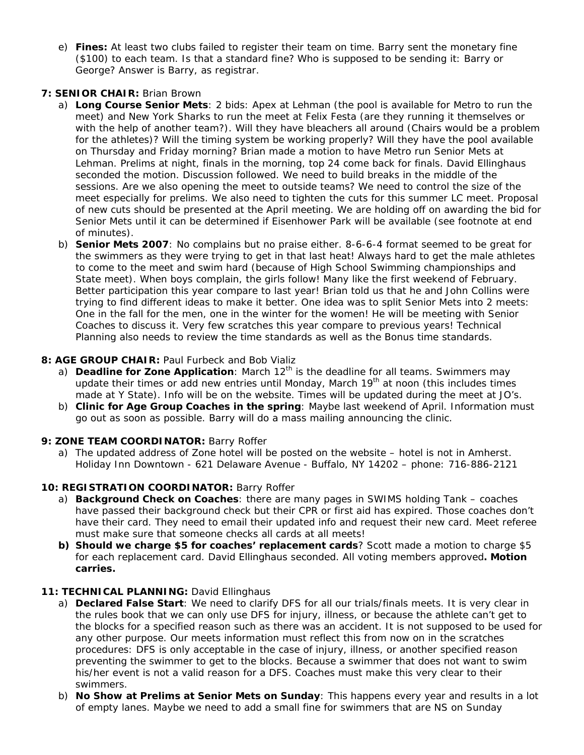e) **Fines:** At least two clubs failed to register their team on time. Barry sent the monetary fine (\$100) to each team. Is that a standard fine? Who is supposed to be sending it: Barry or George? Answer is Barry, as registrar.

# **7: SENIOR CHAIR:** Brian Brown

- a) **Long Course Senior Mets**: 2 bids: Apex at Lehman (the pool is available for Metro to run the meet) and New York Sharks to run the meet at Felix Festa (are they running it themselves or with the help of another team?). Will they have bleachers all around (Chairs would be a problem for the athletes)? Will the timing system be working properly? Will they have the pool available on Thursday and Friday morning? Brian made a motion to have Metro run Senior Mets at Lehman. Prelims at night, finals in the morning, top 24 come back for finals. David Ellinghaus seconded the motion. Discussion followed. We need to build breaks in the middle of the sessions. Are we also opening the meet to outside teams? We need to control the size of the meet especially for prelims. We also need to tighten the cuts for this summer LC meet. Proposal of new cuts should be presented at the April meeting. We are holding off on awarding the bid for Senior Mets until it can be determined if Eisenhower Park will be available (see footnote at end of minutes).
- b) **Senior Mets 2007**: No complains but no praise either. 8-6-6-4 format seemed to be great for the swimmers as they were trying to get in that last heat! Always hard to get the male athletes to come to the meet and swim hard (because of High School Swimming championships and State meet). When boys complain, the girls follow! Many like the first weekend of February. Better participation this year compare to last year! Brian told us that he and John Collins were trying to find different ideas to make it better. One idea was to split Senior Mets into 2 meets: One in the fall for the men, one in the winter for the women! He will be meeting with Senior Coaches to discuss it. Very few scratches this year compare to previous years! Technical Planning also needs to review the time standards as well as the Bonus time standards.

## **8: AGE GROUP CHAIR: Paul Furbeck and Bob Vializ**

- a) **Deadline for Zone Application**: March 12<sup>th</sup> is the deadline for all teams. Swimmers may update their times or add new entries until Monday, March  $19<sup>th</sup>$  at noon (this includes times made at Y State). Info will be on the website. Times will be updated during the meet at JO's.
- b) **Clinic for Age Group Coaches in the spring**: Maybe last weekend of April. Information must go out as soon as possible. Barry will do a mass mailing announcing the clinic.

# **9: ZONE TEAM COORDINATOR:** Barry Roffer

a) The updated address of Zone hotel will be posted on the website – hotel is not in Amherst. Holiday Inn Downtown - 621 Delaware Avenue - Buffalo, NY 14202 – phone: 716-886-2121

# **10: REGISTRATION COORDINATOR:** Barry Roffer

- a) **Background Check on Coaches**: there are many pages in SWIMS holding Tank coaches have passed their background check but their CPR or first aid has expired. Those coaches don't have their card. They need to email their updated info and request their new card. Meet referee must make sure that someone checks all cards at all meets!
- **b) Should we charge \$5 for coaches' replacement cards**? Scott made a motion to charge \$5 for each replacement card. David Ellinghaus seconded. All voting members approved**. Motion carries.**

## 11: TECHNICAL PLANNING: David Ellinghaus

- a) **Declared False Start**: We need to clarify DFS for all our trials/finals meets. It is very clear in the rules book that we can only use DFS for injury, illness, or because the athlete can't get to the blocks for a specified reason such as there was an accident. It is not supposed to be used for any other purpose. Our meets information must reflect this from now on in the scratches procedures: DFS is only acceptable in the case of injury, illness, or another specified reason preventing the swimmer to get to the blocks. Because a swimmer that does not want to swim his/her event is not a valid reason for a DFS. Coaches must make this very clear to their swimmers.
- b) **No Show at Prelims at Senior Mets on Sunday**: This happens every year and results in a lot of empty lanes. Maybe we need to add a small fine for swimmers that are NS on Sunday